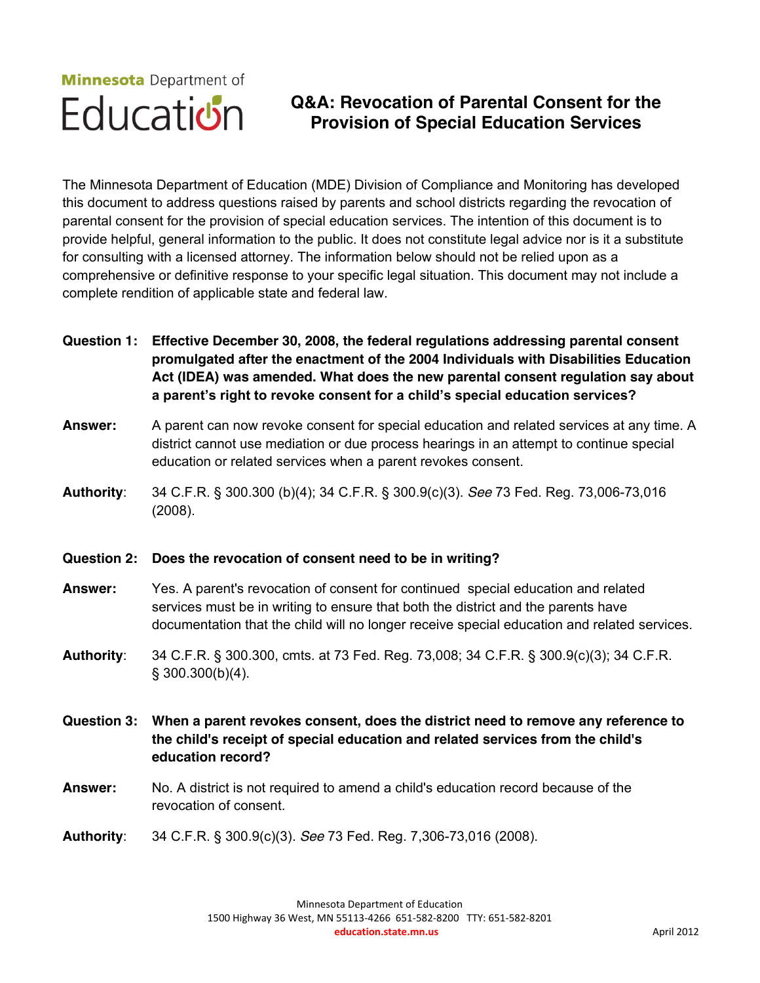# **Minnesota** Department of Education

# **Q&A: Revocation of Parental Consent for the Provision of Special Education Services**

The Minnesota Department of Education (MDE) Division of Compliance and Monitoring has developed this document to address questions raised by parents and school districts regarding the revocation of parental consent for the provision of special education services. The intention of this document is to provide helpful, general information to the public. It does not constitute legal advice nor is it a substitute for consulting with a licensed attorney. The information below should not be relied upon as a comprehensive or definitive response to your specific legal situation. This document may not include a complete rendition of applicable state and federal law.

**Question 1: Effective December 30, 2008, the federal regulations addressing parental consent promulgated after the enactment of the 2004 Individuals with Disabilities Education Act (IDEA) was amended. What does the new parental consent regulation say about a parent's right to revoke consent for a child's special education services?**

**Answer:** A parent can now revoke consent for special education and related services at any time. A district cannot use mediation or due process hearings in an attempt to continue special education or related services when a parent revokes consent.

**Authority**: 34 C.F.R. § 300.300 (b)(4); 34 C.F.R. § 300.9(c)(3). *See* 73 Fed. Reg. 73,006-73,016 (2008).

#### **Question 2: Does the revocation of consent need to be in writing?**

- **Answer:** Yes. A parent's revocation of consent for continued special education and related services must be in writing to ensure that both the district and the parents have documentation that the child will no longer receive special education and related services.
- **Authority**: 34 C.F.R. § 300.300, cmts. at 73 Fed. Reg. 73,008; 34 C.F.R. § 300.9(c)(3); 34 C.F.R. § 300.300(b)(4).
- **Question 3: When a parent revokes consent, does the district need to remove any reference to the child's receipt of special education and related services from the child's education record?**
- **Answer:** No. A district is not required to amend a child's education record because of the revocation of consent.
- **Authority**: 34 C.F.R. § 300.9(c)(3). *See* 73 Fed. Reg. 7,306-73,016 (2008).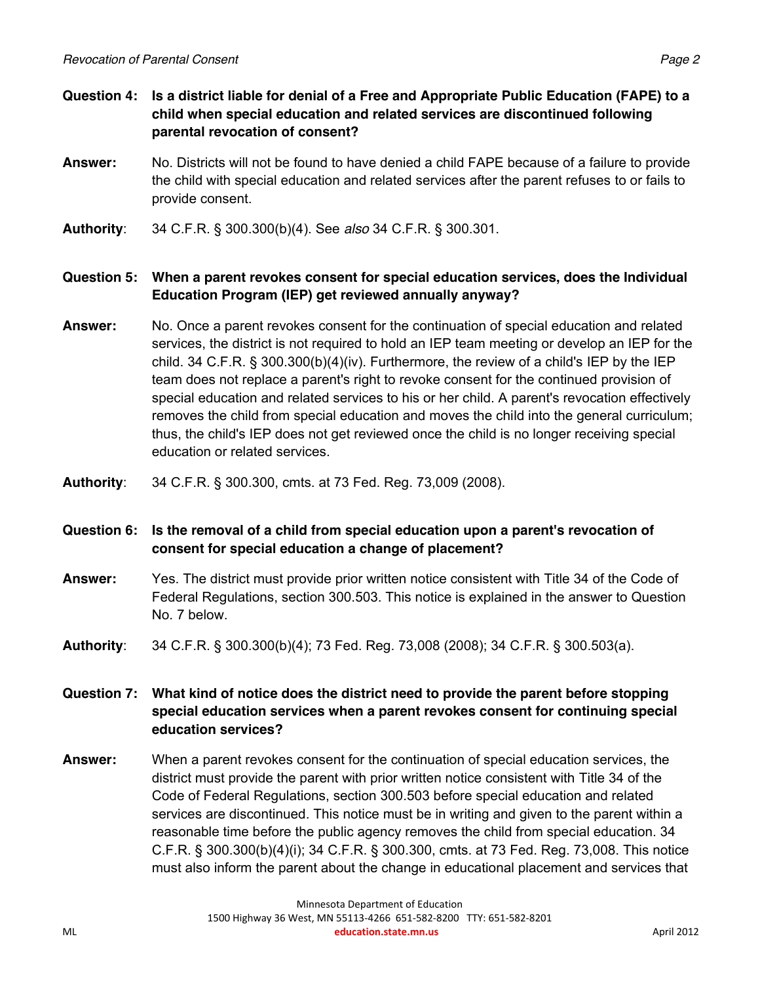- **Question 4: Is a district liable for denial of a Free and Appropriate Public Education (FAPE) to a child when special education and related services are discontinued following parental revocation of consent?**
- **Answer:** No. Districts will not be found to have denied a child FAPE because of a failure to provide the child with special education and related services after the parent refuses to or fails to provide consent.
- **Authority**: 34 C.F.R. § 300.300(b)(4). See *also* 34 C.F.R. § 300.301.

# **Question 5: When a parent revokes consent for special education services, does the Individual Education Program (IEP) get reviewed annually anyway?**

- **Answer:** No. Once a parent revokes consent for the continuation of special education and related services, the district is not required to hold an IEP team meeting or develop an IEP for the child. 34 C.F.R. § 300.300(b)(4)(iv). Furthermore, the review of a child's IEP by the IEP team does not replace a parent's right to revoke consent for the continued provision of special education and related services to his or her child. A parent's revocation effectively removes the child from special education and moves the child into the general curriculum; thus, the child's IEP does not get reviewed once the child is no longer receiving special education or related services.
- **Authority**: 34 C.F.R. § 300.300, cmts. at 73 Fed. Reg. 73,009 (2008).

# **Question 6: Is the removal of a child from special education upon a parent's revocation of consent for special education a change of placement?**

- **Answer:** Yes. The district must provide prior written notice consistent with Title 34 of the Code of Federal Regulations, section 300.503. This notice is explained in the answer to Question No. 7 below.
- **Authority**: 34 C.F.R. § 300.300(b)(4); 73 Fed. Reg. 73,008 (2008); 34 C.F.R. § 300.503(a).

**Question 7: What kind of notice does the district need to provide the parent before stopping special education services when a parent revokes consent for continuing special education services?** 

**Answer:** When a parent revokes consent for the continuation of special education services, the district must provide the parent with prior written notice consistent with Title 34 of the Code of Federal Regulations, section 300.503 before special education and related services are discontinued. This notice must be in writing and given to the parent within a reasonable time before the public agency removes the child from special education. 34 C.F.R. § 300.300(b)(4)(i); 34 C.F.R. § 300.300, cmts. at 73 Fed. Reg. 73,008. This notice must also inform the parent about the change in educational placement and services that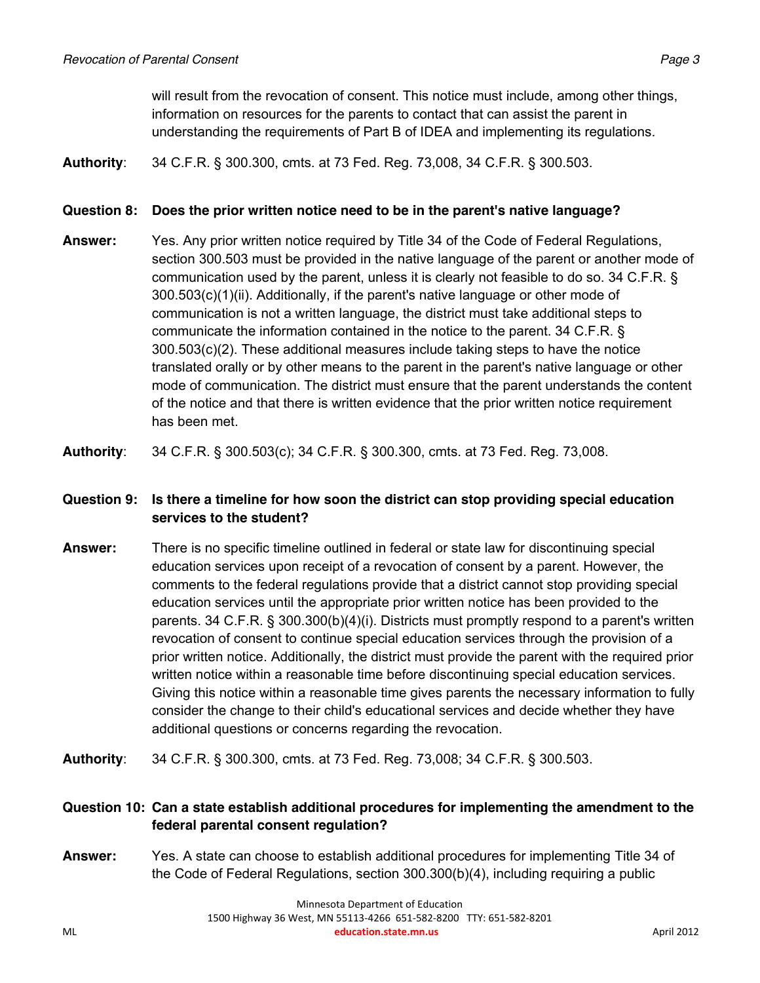will result from the revocation of consent. This notice must include, among other things, information on resources for the parents to contact that can assist the parent in understanding the requirements of Part B of IDEA and implementing its regulations.

**Authority**: 34 C.F.R. § 300.300, cmts. at 73 Fed. Reg. 73,008, 34 C.F.R. § 300.503.

#### **Question 8: Does the prior written notice need to be in the parent's native language?**

**Answer:** Yes. Any prior written notice required by Title 34 of the Code of Federal Regulations, section 300.503 must be provided in the native language of the parent or another mode of communication used by the parent, unless it is clearly not feasible to do so. 34 C.F.R. § 300.503(c)(1)(ii). Additionally, if the parent's native language or other mode of communication is not a written language, the district must take additional steps to communicate the information contained in the notice to the parent. 34 C.F.R. § 300.503(c)(2). These additional measures include taking steps to have the notice translated orally or by other means to the parent in the parent's native language or other mode of communication. The district must ensure that the parent understands the content of the notice and that there is written evidence that the prior written notice requirement has been met.

**Authority**: 34 C.F.R. § 300.503(c); 34 C.F.R. § 300.300, cmts. at 73 Fed. Reg. 73,008.

# **Question 9: Is there a timeline for how soon the district can stop providing special education services to the student?**

**Answer:** There is no specific timeline outlined in federal or state law for discontinuing special education services upon receipt of a revocation of consent by a parent. However, the comments to the federal regulations provide that a district cannot stop providing special education services until the appropriate prior written notice has been provided to the parents. 34 C.F.R. § 300.300(b)(4)(i). Districts must promptly respond to a parent's written revocation of consent to continue special education services through the provision of a prior written notice. Additionally, the district must provide the parent with the required prior written notice within a reasonable time before discontinuing special education services. Giving this notice within a reasonable time gives parents the necessary information to fully consider the change to their child's educational services and decide whether they have additional questions or concerns regarding the revocation.

**Authority**: 34 C.F.R. § 300.300, cmts. at 73 Fed. Reg. 73,008; 34 C.F.R. § 300.503.

# **Question 10: Can a state establish additional procedures for implementing the amendment to the federal parental consent regulation?**

**Answer:** Yes. A state can choose to establish additional procedures for implementing Title 34 of the Code of Federal Regulations, section 300.300(b)(4), including requiring a public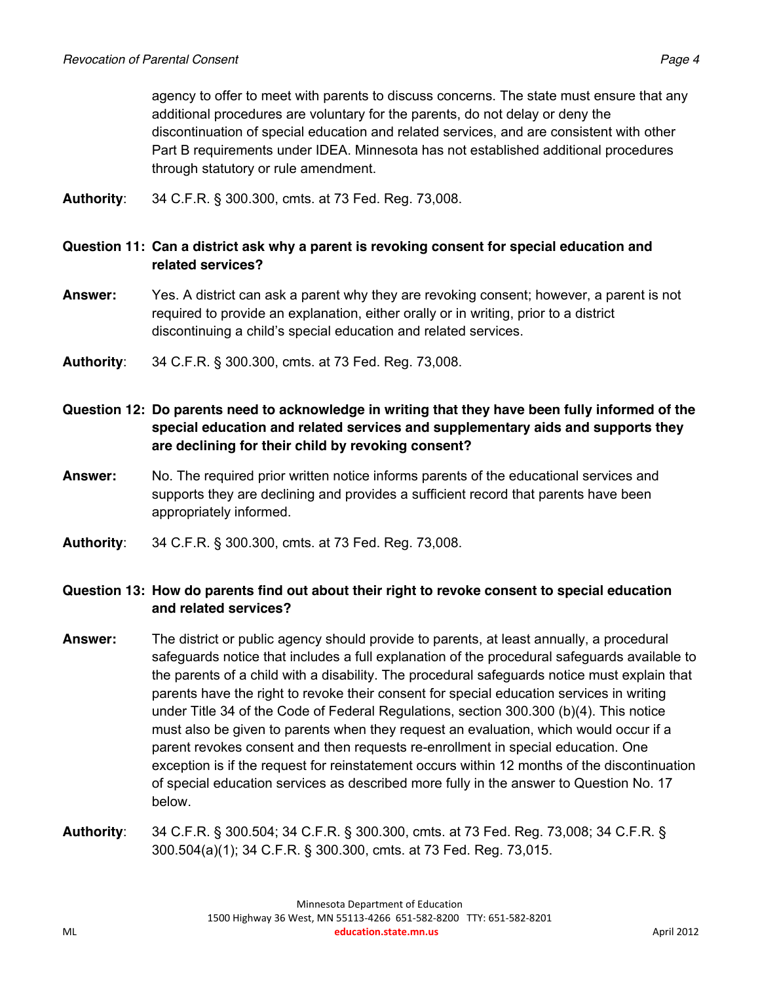agency to offer to meet with parents to discuss concerns. The state must ensure that any additional procedures are voluntary for the parents, do not delay or deny the discontinuation of special education and related services, and are consistent with other Part B requirements under IDEA. Minnesota has not established additional procedures through statutory or rule amendment.

**Authority**: 34 C.F.R. § 300.300, cmts. at 73 Fed. Reg. 73,008.

#### **Question 11: Can a district ask why a parent is revoking consent for special education and related services?**

- **Answer:** Yes. A district can ask a parent why they are revoking consent; however, a parent is not required to provide an explanation, either orally or in writing, prior to a district discontinuing a child's special education and related services.
- **Authority**: 34 C.F.R. § 300.300, cmts. at 73 Fed. Reg. 73,008.

# **Question 12: Do parents need to acknowledge in writing that they have been fully informed of the special education and related services and supplementary aids and supports they are declining for their child by revoking consent?**

- **Answer:** No. The required prior written notice informs parents of the educational services and supports they are declining and provides a sufficient record that parents have been appropriately informed.
- **Authority**: 34 C.F.R. § 300.300, cmts. at 73 Fed. Reg. 73,008.

# **Question 13: How do parents find out about their right to revoke consent to special education and related services?**

- **Answer:** The district or public agency should provide to parents, at least annually, a procedural safeguards notice that includes a full explanation of the procedural safeguards available to the parents of a child with a disability. The procedural safeguards notice must explain that parents have the right to revoke their consent for special education services in writing under Title 34 of the Code of Federal Regulations, section 300.300 (b)(4). This notice must also be given to parents when they request an evaluation, which would occur if a parent revokes consent and then requests re-enrollment in special education. One exception is if the request for reinstatement occurs within 12 months of the discontinuation of special education services as described more fully in the answer to Question No. 17 below.
- **Authority**: 34 C.F.R. § 300.504; 34 C.F.R. § 300.300, cmts. at 73 Fed. Reg. 73,008; 34 C.F.R. § 300.504(a)(1); 34 C.F.R. § 300.300, cmts. at 73 Fed. Reg. 73,015.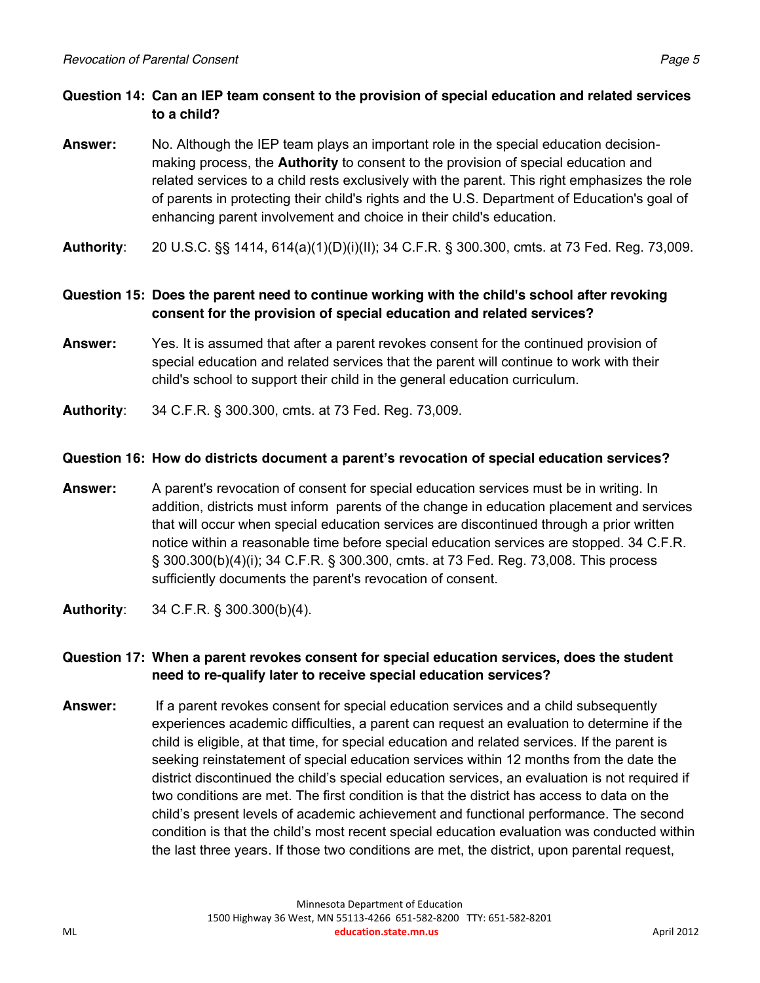# **Question 14: Can an IEP team consent to the provision of special education and related services to a child?**

- **Answer:** No. Although the IEP team plays an important role in the special education decisionmaking process, the **Authority** to consent to the provision of special education and related services to a child rests exclusively with the parent. This right emphasizes the role of parents in protecting their child's rights and the U.S. Department of Education's goal of enhancing parent involvement and choice in their child's education.
- **Authority**: 20 U.S.C. §§ 1414, 614(a)(1)(D)(i)(II); 34 C.F.R. § 300.300, cmts. at 73 Fed. Reg. 73,009.

# **Question 15: Does the parent need to continue working with the child's school after revoking consent for the provision of special education and related services?**

- **Answer:** Yes. It is assumed that after a parent revokes consent for the continued provision of special education and related services that the parent will continue to work with their child's school to support their child in the general education curriculum.
- **Authority**: 34 C.F.R. § 300.300, cmts. at 73 Fed. Reg. 73,009.

#### **Question 16: How do districts document a parent's revocation of special education services?**

- **Answer:** A parent's revocation of consent for special education services must be in writing. In addition, districts must inform parents of the change in education placement and services that will occur when special education services are discontinued through a prior written notice within a reasonable time before special education services are stopped. 34 C.F.R. § 300.300(b)(4)(i); 34 C.F.R. § 300.300, cmts. at 73 Fed. Reg. 73,008. This process sufficiently documents the parent's revocation of consent.
- **Authority**: 34 C.F.R. § 300.300(b)(4).

# **Question 17: When a parent revokes consent for special education services, does the student need to re-qualify later to receive special education services?**

**Answer:** If a parent revokes consent for special education services and a child subsequently experiences academic difficulties, a parent can request an evaluation to determine if the child is eligible, at that time, for special education and related services. If the parent is seeking reinstatement of special education services within 12 months from the date the district discontinued the child's special education services, an evaluation is not required if two conditions are met. The first condition is that the district has access to data on the child's present levels of academic achievement and functional performance. The second condition is that the child's most recent special education evaluation was conducted within the last three years. If those two conditions are met, the district, upon parental request,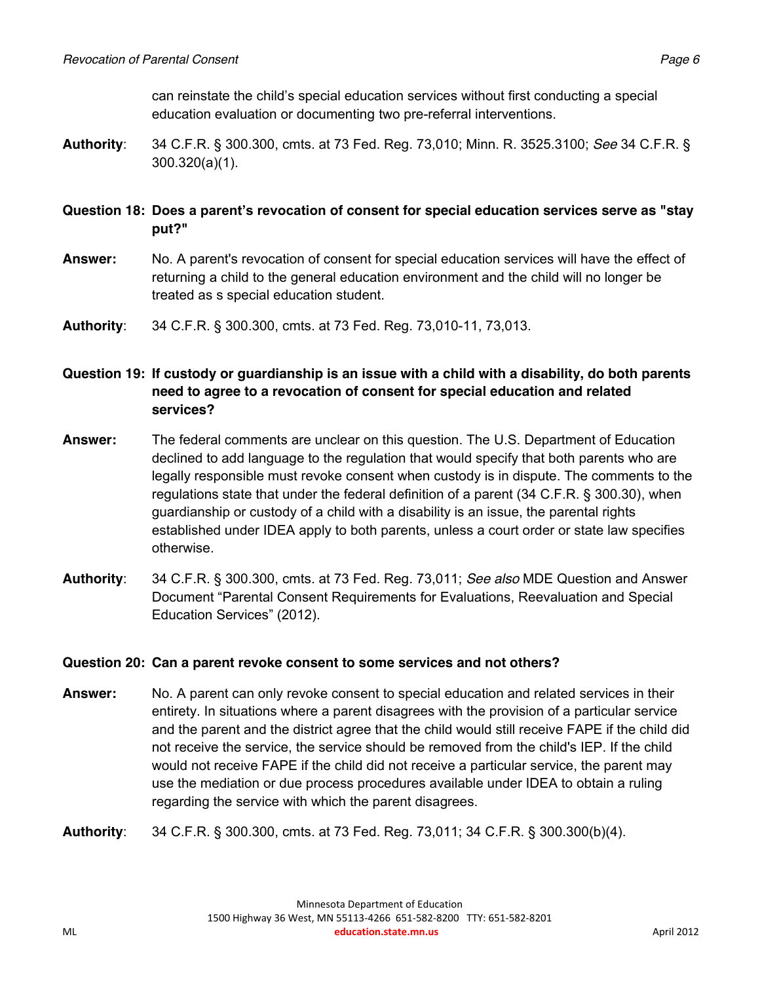can reinstate the child's special education services without first conducting a special education evaluation or documenting two pre-referral interventions.

**Authority**: 34 C.F.R. § 300.300, cmts. at 73 Fed. Reg. 73,010; Minn. R. 3525.3100; *See* 34 C.F.R. § 300.320(a)(1).

# **Question 18: Does a parent's revocation of consent for special education services serve as "stay put?"**

- **Answer:** No. A parent's revocation of consent for special education services will have the effect of returning a child to the general education environment and the child will no longer be treated as s special education student.
- **Authority**: 34 C.F.R. § 300.300, cmts. at 73 Fed. Reg. 73,010-11, 73,013.

# **Question 19: If custody or guardianship is an issue with a child with a disability, do both parents need to agree to a revocation of consent for special education and related services?**

- **Answer:** The federal comments are unclear on this question. The U.S. Department of Education declined to add language to the regulation that would specify that both parents who are legally responsible must revoke consent when custody is in dispute. The comments to the regulations state that under the federal definition of a parent (34 C.F.R. § 300.30), when guardianship or custody of a child with a disability is an issue, the parental rights established under IDEA apply to both parents, unless a court order or state law specifies otherwise.
- **Authority**: 34 C.F.R. § 300.300, cmts. at 73 Fed. Reg. 73,011; *See also* MDE Question and Answer Document "Parental Consent Requirements for Evaluations, Reevaluation and Special Education Services" (2012).

#### **Question 20: Can a parent revoke consent to some services and not others?**

- **Answer:** No. A parent can only revoke consent to special education and related services in their entirety. In situations where a parent disagrees with the provision of a particular service and the parent and the district agree that the child would still receive FAPE if the child did not receive the service, the service should be removed from the child's IEP. If the child would not receive FAPE if the child did not receive a particular service, the parent may use the mediation or due process procedures available under IDEA to obtain a ruling regarding the service with which the parent disagrees.
- **Authority**: 34 C.F.R. § 300.300, cmts. at 73 Fed. Reg. 73,011; 34 C.F.R. § 300.300(b)(4).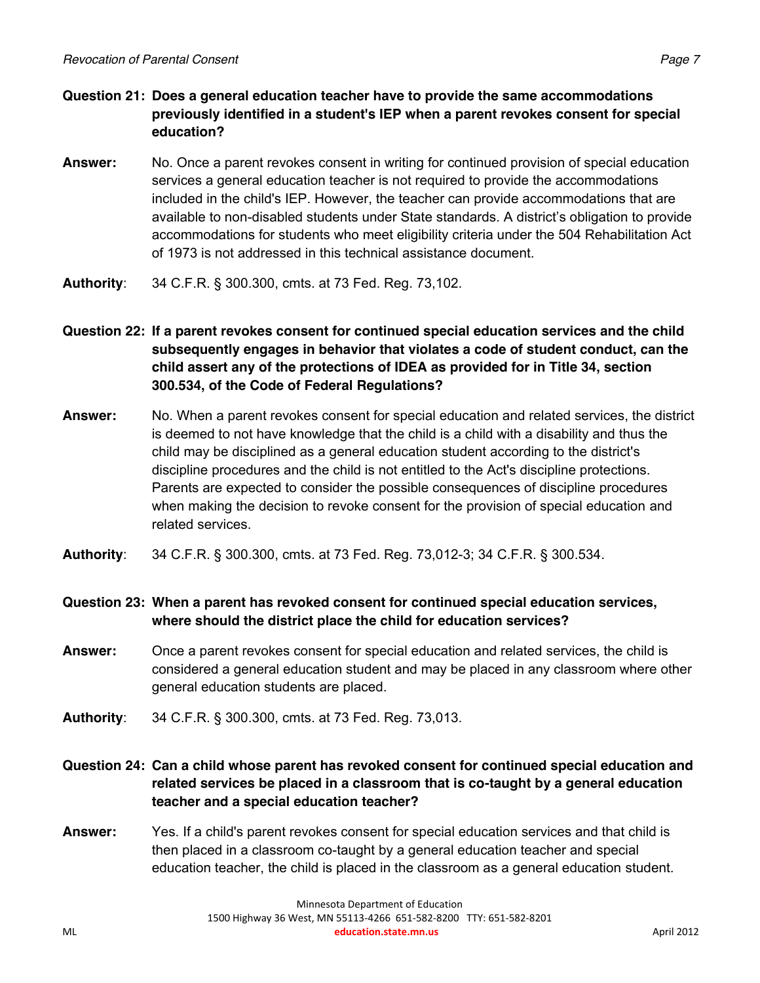- **Question 21: Does a general education teacher have to provide the same accommodations previously identified in a student's IEP when a parent revokes consent for special education?**
- **Answer:** No. Once a parent revokes consent in writing for continued provision of special education services a general education teacher is not required to provide the accommodations included in the child's IEP. However, the teacher can provide accommodations that are available to non-disabled students under State standards. A district's obligation to provide accommodations for students who meet eligibility criteria under the 504 Rehabilitation Act of 1973 is not addressed in this technical assistance document.
- **Authority**: 34 C.F.R. § 300.300, cmts. at 73 Fed. Reg. 73,102.
- **Question 22: If a parent revokes consent for continued special education services and the child subsequently engages in behavior that violates a code of student conduct, can the child assert any of the protections of IDEA as provided for in Title 34, section 300.534, of the Code of Federal Regulations?**
- **Answer:** No. When a parent revokes consent for special education and related services, the district is deemed to not have knowledge that the child is a child with a disability and thus the child may be disciplined as a general education student according to the district's discipline procedures and the child is not entitled to the Act's discipline protections. Parents are expected to consider the possible consequences of discipline procedures when making the decision to revoke consent for the provision of special education and related services.
- **Authority**: 34 C.F.R. § 300.300, cmts. at 73 Fed. Reg. 73,012-3; 34 C.F.R. § 300.534.

**Question 23: When a parent has revoked consent for continued special education services, where should the district place the child for education services?**

- **Answer:** Once a parent revokes consent for special education and related services, the child is considered a general education student and may be placed in any classroom where other general education students are placed.
- **Authority**: 34 C.F.R. § 300.300, cmts. at 73 Fed. Reg. 73,013.
- **Question 24: Can a child whose parent has revoked consent for continued special education and related services be placed in a classroom that is co-taught by a general education teacher and a special education teacher?**
- **Answer:** Yes. If a child's parent revokes consent for special education services and that child is then placed in a classroom co-taught by a general education teacher and special education teacher, the child is placed in the classroom as a general education student.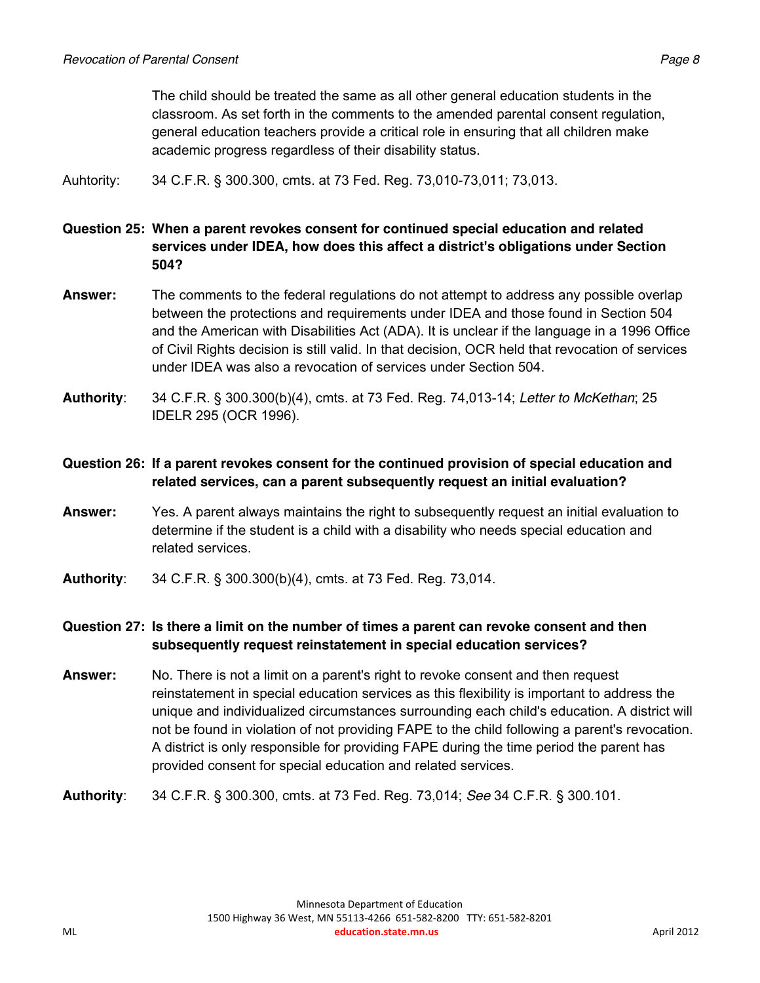The child should be treated the same as all other general education students in the classroom. As set forth in the comments to the amended parental consent regulation, general education teachers provide a critical role in ensuring that all children make academic progress regardless of their disability status.

Auhtority: 34 C.F.R. § 300.300, cmts. at 73 Fed. Reg. 73,010-73,011; 73,013.

#### **Question 25: When a parent revokes consent for continued special education and related services under IDEA, how does this affect a district's obligations under Section 504?**

- **Answer:** The comments to the federal regulations do not attempt to address any possible overlap between the protections and requirements under IDEA and those found in Section 504 and the American with Disabilities Act (ADA). It is unclear if the language in a 1996 Office of Civil Rights decision is still valid. In that decision, OCR held that revocation of services under IDEA was also a revocation of services under Section 504.
- **Authority**: 34 C.F.R. § 300.300(b)(4), cmts. at 73 Fed. Reg. 74,013-14; *Letter to McKethan*; 25 IDELR 295 (OCR 1996).

# **Question 26: If a parent revokes consent for the continued provision of special education and related services, can a parent subsequently request an initial evaluation?**

- **Answer:** Yes. A parent always maintains the right to subsequently request an initial evaluation to determine if the student is a child with a disability who needs special education and related services.
- **Authority**: 34 C.F.R. § 300.300(b)(4), cmts. at 73 Fed. Reg. 73,014.

# **Question 27: Is there a limit on the number of times a parent can revoke consent and then subsequently request reinstatement in special education services?**

- **Answer:** No. There is not a limit on a parent's right to revoke consent and then request reinstatement in special education services as this flexibility is important to address the unique and individualized circumstances surrounding each child's education. A district will not be found in violation of not providing FAPE to the child following a parent's revocation. A district is only responsible for providing FAPE during the time period the parent has provided consent for special education and related services.
- **Authority**: 34 C.F.R. § 300.300, cmts. at 73 Fed. Reg. 73,014; *See* 34 C.F.R. § 300.101.